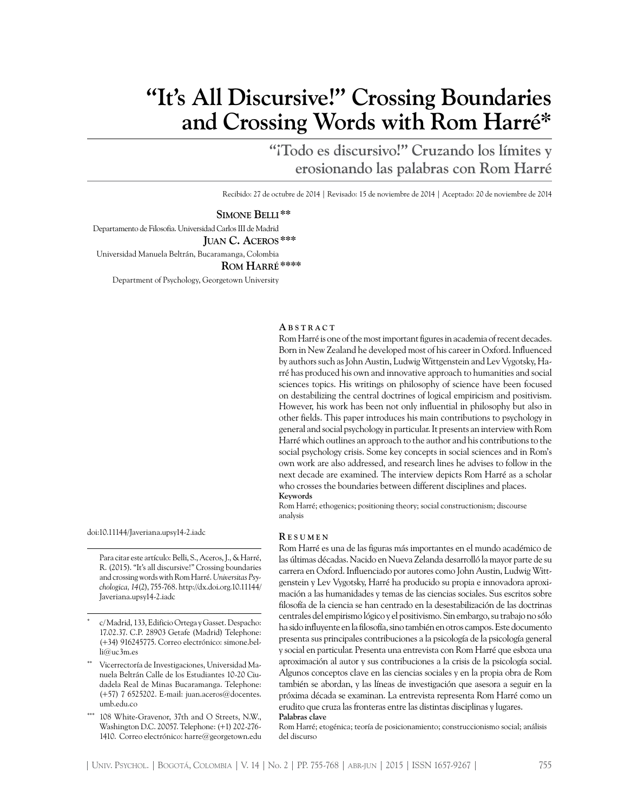# **"It's All Discursive!" Crossing Boundaries and Crossing Words with Rom Harré\***

**"¡Todo es discursivo!" Cruzando los límites y erosionando las palabras con Rom Harré**

Recibido: 27 de octubre de 2014 | Revisado: 15 de noviembre de 2014 | Aceptado: 20 de noviembre de 2014

#### **Simone Belli\*\***

Departamento de Filosofia. Universidad Carlos III de Madrid **Juan C. Aceros\*\*\*** Universidad Manuela Beltrán, Bucaramanga, Colombia  **Rom Harré\*\*\*\***

Department of Psychology, Georgetown University

#### **A bs t r a c t**

Rom Harré is one of the most important figures in academia of recent decades. Born in New Zealand he developed most of his career in Oxford. Influenced by authors such as John Austin, Ludwig Wittgenstein and Lev Vygotsky, Harré has produced his own and innovative approach to humanities and social sciences topics. His writings on philosophy of science have been focused on destabilizing the central doctrines of logical empiricism and positivism. However, his work has been not only influential in philosophy but also in other fields. This paper introduces his main contributions to psychology in general and social psychology in particular. It presents an interview with Rom Harré which outlines an approach to the author and his contributions to the social psychology crisis. Some key concepts in social sciences and in Rom's own work are also addressed, and research lines he advises to follow in the next decade are examined. The interview depicts Rom Harré as a scholar who crosses the boundaries between different disciplines and places. **Keywords**

Rom Harré; ethogenics; positioning theory; social constructionism; discourse analysis

doi:10.11144/Javeriana.upsy14-2.iadc

Para citar este artículo: Belli, S., Aceros, J., & Harré, R. (2015). "It's all discursive!" Crossing boundaries and crossing words with Rom Harré. *Universitas Psychologica, 14*(2), 755-768. [http://dx.doi.org.](http://dx.doi.org/)10.11144/ Javeriana.upsy14-2.iadc

- c/ Madrid, 133, Edificio Ortega y Gasset. Despacho: 17.02.37. C.P. 28903 Getafe (Madrid) Telephone: (+34) 916245775. Correo electrónico: simone.belli@uc3m.es
- Vicerrectoría de Investigaciones, Universidad Manuela Beltrán Calle de los Estudiantes 10-20 Ciudadela Real de Minas Bucaramanga. Telephone: (+57) 7 6525202. E-mail: juan.aceros@docentes. umb.edu.co
- 108 White-Gravenor, 37th and O Streets, N.W., Washington D.C. 20057. Telephone: (+1) 202-276- 1410. Correo electrónico: harre@georgetown.edu

#### **R e s u m e n**

Rom Harré es una de las figuras más importantes en el mundo académico de las últimas décadas. Nacido en Nueva Zelanda desarrolló la mayor parte de su carrera en Oxford. Influenciado por autores como John Austin, Ludwig Wittgenstein y Lev Vygotsky, Harré ha producido su propia e innovadora aproximación a las humanidades y temas de las ciencias sociales. Sus escritos sobre filosofía de la ciencia se han centrado en la desestabilización de las doctrinas centrales del empirismo lógico y el positivismo. Sin embargo, su trabajo no sólo ha sido influyente en la filosofía, sino también en otros campos. Este documento presenta sus principales contribuciones a la psicología de la psicología general y social en particular. Presenta una entrevista con Rom Harré que esboza una aproximación al autor y sus contribuciones a la crisis de la psicología social. Algunos conceptos clave en las ciencias sociales y en la propia obra de Rom también se abordan, y las líneas de investigación que asesora a seguir en la próxima década se examinan. La entrevista representa Rom Harré como un erudito que cruza las fronteras entre las distintas disciplinas y lugares.

#### **Palabras clave**

Rom Harré; etogénica; teoría de posicionamiento; construccionismo social; análisis del discurso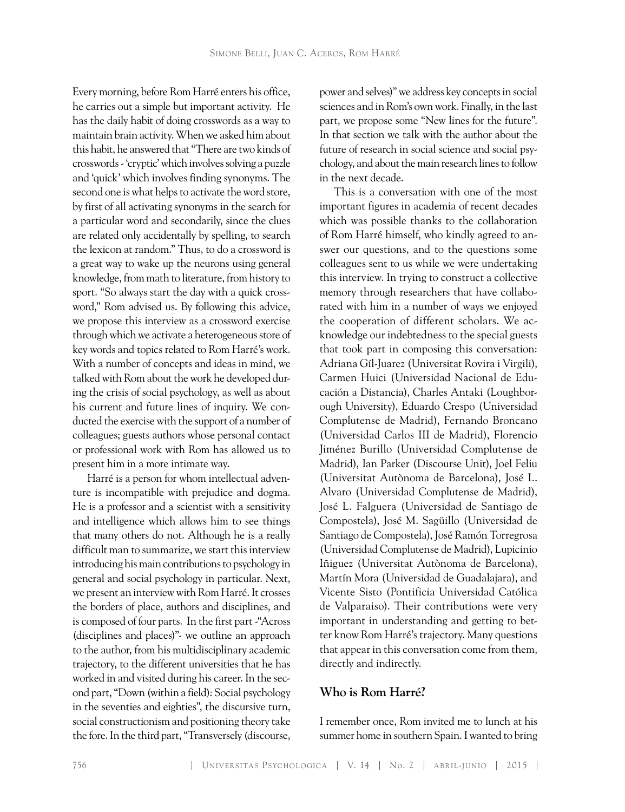Every morning, before Rom Harré enters his office, he carries out a simple but important activity. He has the daily habit of doing crosswords as a way to maintain brain activity. When we asked him about this habit, he answered that "There are two kinds of crosswords - 'cryptic' which involves solving a puzzle and 'quick' which involves finding synonyms. The second one is what helps to activate the word store, by first of all activating synonyms in the search for a particular word and secondarily, since the clues are related only accidentally by spelling, to search the lexicon at random." Thus, to do a crossword is a great way to wake up the neurons using general knowledge, from math to literature, from history to sport. "So always start the day with a quick crossword," Rom advised us. By following this advice, we propose this interview as a crossword exercise through which we activate a heterogeneous store of key words and topics related to Rom Harré's work. With a number of concepts and ideas in mind, we talked with Rom about the work he developed during the crisis of social psychology, as well as about his current and future lines of inquiry. We conducted the exercise with the support of a number of colleagues; guests authors whose personal contact or professional work with Rom has allowed us to present him in a more intimate way.

Harré is a person for whom intellectual adventure is incompatible with prejudice and dogma. He is a professor and a scientist with a sensitivity and intelligence which allows him to see things that many others do not. Although he is a really difficult man to summarize, we start this interview introducing his main contributions to psychology in general and social psychology in particular. Next, we present an interview with Rom Harré. It crosses the borders of place, authors and disciplines, and is composed of four parts. In the first part -"Across (disciplines and places)"- we outline an approach to the author, from his multidisciplinary academic trajectory, to the different universities that he has worked in and visited during his career. In the second part, "Down (within a field): Social psychology in the seventies and eighties", the discursive turn, social constructionism and positioning theory take the fore. In the third part, "Transversely (discourse,

power and selves)" we address key concepts in social sciences and in Rom's own work. Finally, in the last part, we propose some "New lines for the future". In that section we talk with the author about the future of research in social science and social psychology, and about the main research lines to follow in the next decade.

This is a conversation with one of the most important figures in academia of recent decades which was possible thanks to the collaboration of Rom Harré himself, who kindly agreed to answer our questions, and to the questions some colleagues sent to us while we were undertaking this interview. In trying to construct a collective memory through researchers that have collaborated with him in a number of ways we enjoyed the cooperation of different scholars. We acknowledge our indebtedness to the special guests that took part in composing this conversation: Adriana Gíl-Juarez (Universitat Rovira i Virgili), Carmen Huici (Universidad Nacional de Educación a Distancia), Charles Antaki (Loughborough University), Eduardo Crespo (Universidad Complutense de Madrid), Fernando Broncano (Universidad Carlos III de Madrid), Florencio Jiménez Burillo (Universidad Complutense de Madrid), Ian Parker (Discourse Unit), Joel Feliu (Universitat Autònoma de Barcelona), José L. Alvaro (Universidad Complutense de Madrid), José L. Falguera (Universidad de Santiago de Compostela), José M. Sagüillo (Universidad de Santiago de Compostela), José Ramón Torregrosa (Universidad Complutense de Madrid), Lupicinio Iñiguez (Universitat Autònoma de Barcelona), Martín Mora (Universidad de Guadalajara), and Vicente Sisto (Pontificia Universidad Católica de Valparaiso). Their contributions were very important in understanding and getting to better know Rom Harré's trajectory. Many questions that appear in this conversation come from them, directly and indirectly.

## **Who is Rom Harré?**

I remember once, Rom invited me to lunch at his summer home in southern Spain. I wanted to bring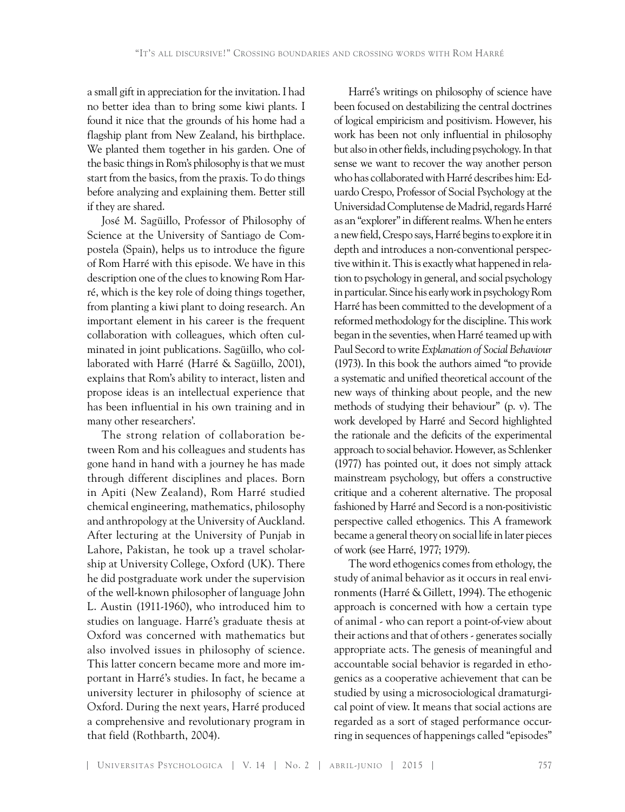a small gift in appreciation for the invitation. I had no better idea than to bring some kiwi plants. I found it nice that the grounds of his home had a flagship plant from New Zealand, his birthplace. We planted them together in his garden. One of the basic things in Rom's philosophy is that we must start from the basics, from the praxis. To do things before analyzing and explaining them. Better still if they are shared.

José M. Sagüillo, Professor of Philosophy of Science at the University of Santiago de Compostela (Spain), helps us to introduce the figure of Rom Harré with this episode. We have in this description one of the clues to knowing Rom Harré, which is the key role of doing things together, from planting a kiwi plant to doing research. An important element in his career is the frequent collaboration with colleagues, which often culminated in joint publications. Sagüillo, who collaborated with Harré (Harré & Sagüillo, 2001), explains that Rom's ability to interact, listen and propose ideas is an intellectual experience that has been influential in his own training and in many other researchers'.

The strong relation of collaboration between Rom and his colleagues and students has gone hand in hand with a journey he has made through different disciplines and places. Born in Apiti (New Zealand), Rom Harré studied chemical engineering, mathematics, philosophy and anthropology at the University of Auckland. After lecturing at the University of Punjab in Lahore, Pakistan, he took up a travel scholarship at University College, Oxford (UK). There he did postgraduate work under the supervision of the well-known philosopher of language John L. Austin (1911-1960), who introduced him to studies on language. Harré's graduate thesis at Oxford was concerned with mathematics but also involved issues in philosophy of science. This latter concern became more and more important in Harré's studies. In fact, he became a university lecturer in philosophy of science at Oxford. During the next years, Harré produced a comprehensive and revolutionary program in that field (Rothbarth, 2004).

Harré's writings on philosophy of science have been focused on destabilizing the central doctrines of logical empiricism and positivism. However, his work has been not only influential in philosophy but also in other fields, including psychology. In that sense we want to recover the way another person who has collaborated with Harré describes him: Eduardo Crespo, Professor of Social Psychology at the Universidad Complutense de Madrid, regards Harré as an "explorer" in different realms. When he enters a new field, Crespo says, Harré begins to explore it in depth and introduces a non-conventional perspective within it. This is exactly what happened in relation to psychology in general, and social psychology in particular. Since his early work in psychology Rom Harré has been committed to the development of a reformed methodology for the discipline. This work began in the seventies, when Harré teamed up with Paul Secord to write *Explanation of Social Behaviour*  (1973). In this book the authors aimed "to provide a systematic and unified theoretical account of the new ways of thinking about people, and the new methods of studying their behaviour" (p. v). The work developed by Harré and Secord highlighted the rationale and the deficits of the experimental approach to social behavior. However, as Schlenker (1977) has pointed out, it does not simply attack mainstream psychology, but offers a constructive critique and a coherent alternative. The proposal fashioned by Harré and Secord is a non-positivistic perspective called ethogenics. This A framework became a general theory on social life in later pieces of work (see Harré, 1977; 1979).

The word ethogenics comes from ethology, the study of animal behavior as it occurs in real environments (Harré & Gillett, 1994). The ethogenic approach is concerned with how a certain type of animal - who can report a point-of-view about their actions and that of others - generates socially appropriate acts. The genesis of meaningful and accountable social behavior is regarded in ethogenics as a cooperative achievement that can be studied by using a microsociological dramaturgical point of view. It means that social actions are regarded as a sort of staged performance occurring in sequences of happenings called "episodes"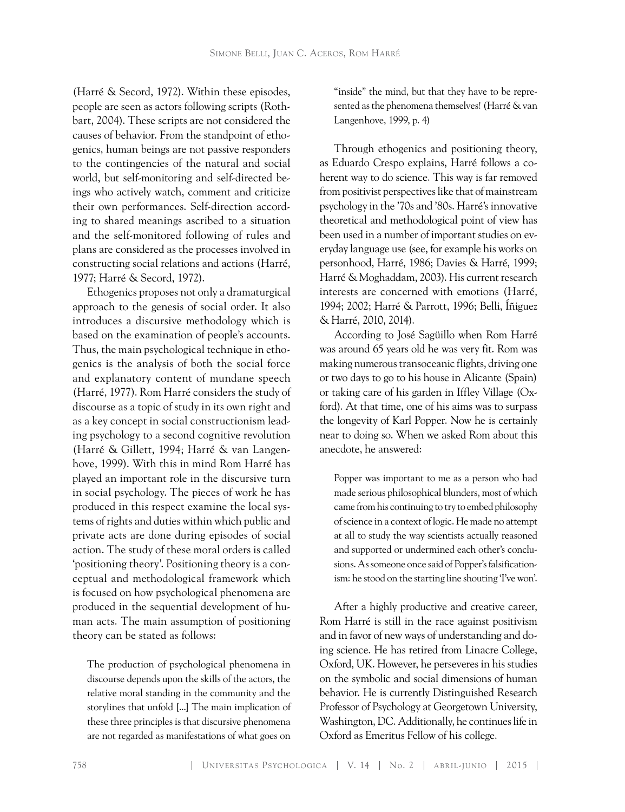(Harré & Secord, 1972). Within these episodes, people are seen as actors following scripts (Rothbart, 2004). These scripts are not considered the causes of behavior. From the standpoint of ethogenics, human beings are not passive responders to the contingencies of the natural and social world, but self-monitoring and self-directed beings who actively watch, comment and criticize their own performances. Self-direction according to shared meanings ascribed to a situation and the self-monitored following of rules and plans are considered as the processes involved in constructing social relations and actions (Harré, 1977; Harré & Secord, 1972).

Ethogenics proposes not only a dramaturgical approach to the genesis of social order. It also introduces a discursive methodology which is based on the examination of people's accounts. Thus, the main psychological technique in ethogenics is the analysis of both the social force and explanatory content of mundane speech (Harré, 1977). Rom Harré considers the study of discourse as a topic of study in its own right and as a key concept in social constructionism leading psychology to a second cognitive revolution (Harré & Gillett, 1994; Harré & van Langenhove, 1999). With this in mind Rom Harré has played an important role in the discursive turn in social psychology. The pieces of work he has produced in this respect examine the local systems of rights and duties within which public and private acts are done during episodes of social action. The study of these moral orders is called 'positioning theory'. Positioning theory is a conceptual and methodological framework which is focused on how psychological phenomena are produced in the sequential development of human acts. The main assumption of positioning theory can be stated as follows:

The production of psychological phenomena in discourse depends upon the skills of the actors, the relative moral standing in the community and the storylines that unfold [...] The main implication of these three principles is that discursive phenomena are not regarded as manifestations of what goes on

"inside" the mind, but that they have to be represented as the phenomena themselves! (Harré & van Langenhove, 1999, p. 4)

Through ethogenics and positioning theory, as Eduardo Crespo explains, Harré follows a coherent way to do science. This way is far removed from positivist perspectives like that of mainstream psychology in the '70s and '80s. Harré's innovative theoretical and methodological point of view has been used in a number of important studies on everyday language use (see, for example his works on personhood, Harré, 1986; Davies & Harré, 1999; Harré & Moghaddam, 2003). His current research interests are concerned with emotions (Harré, 1994; 2002; Harré & Parrott, 1996; Belli, Íñiguez & Harré, 2010, 2014).

According to José Sagüillo when Rom Harré was around 65 years old he was very fit. Rom was making numerous transoceanic flights, driving one or two days to go to his house in Alicante (Spain) or taking care of his garden in Iffley Village (Oxford). At that time, one of his aims was to surpass the longevity of Karl Popper. Now he is certainly near to doing so. When we asked Rom about this anecdote, he answered:

Popper was important to me as a person who had made serious philosophical blunders, most of which came from his continuing to try to embed philosophy of science in a context of logic. He made no attempt at all to study the way scientists actually reasoned and supported or undermined each other's conclusions. As someone once said of Popper's falsificationism: he stood on the starting line shouting 'I've won'.

After a highly productive and creative career, Rom Harré is still in the race against positivism and in favor of new ways of understanding and doing science. He has retired from Linacre College, Oxford, UK. However, he perseveres in his studies on the symbolic and social dimensions of human behavior. He is currently Distinguished Research Professor of Psychology at Georgetown University, Washington, DC. Additionally, he continues life in Oxford as Emeritus Fellow of his college.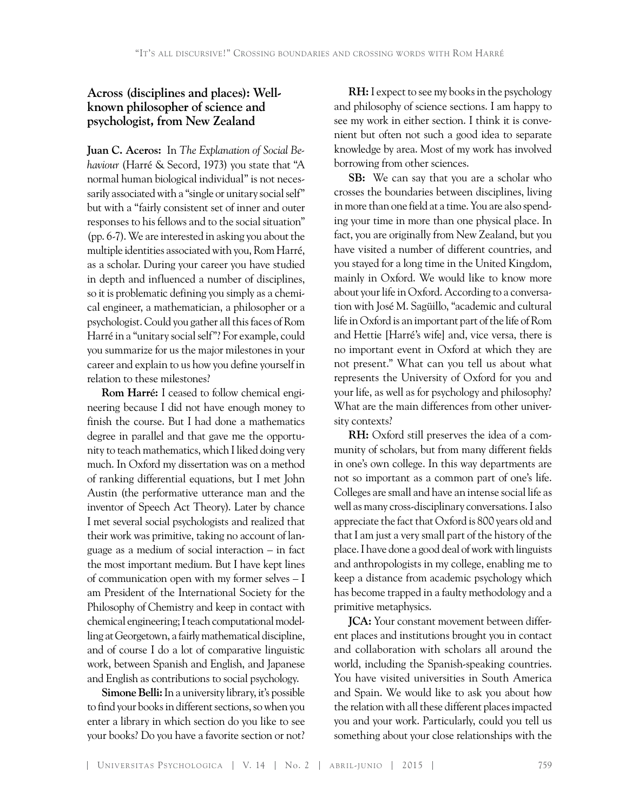## **Across (disciplines and places): Wellknown philosopher of science and psychologist, from New Zealand**

**Juan C. Aceros:** In *The Explanation of Social Behaviour* (Harré & Secord, 1973) you state that "A normal human biological individual" is not necessarily associated with a "single or unitary social self" but with a "fairly consistent set of inner and outer responses to his fellows and to the social situation" (pp. 6-7). We are interested in asking you about the multiple identities associated with you, Rom Harré, as a scholar. During your career you have studied in depth and influenced a number of disciplines, so it is problematic defining you simply as a chemical engineer, a mathematician, a philosopher or a psychologist. Could you gather all this faces of Rom Harré in a "unitary social self"? For example, could you summarize for us the major milestones in your career and explain to us how you define yourself in relation to these milestones?

**Rom Harré:** I ceased to follow chemical engineering because I did not have enough money to finish the course. But I had done a mathematics degree in parallel and that gave me the opportunity to teach mathematics, which I liked doing very much. In Oxford my dissertation was on a method of ranking differential equations, but I met John Austin (the performative utterance man and the inventor of Speech Act Theory). Later by chance I met several social psychologists and realized that their work was primitive, taking no account of language as a medium of social interaction – in fact the most important medium. But I have kept lines of communication open with my former selves – I am President of the International Society for the Philosophy of Chemistry and keep in contact with chemical engineering; I teach computational modelling at Georgetown, a fairly mathematical discipline, and of course I do a lot of comparative linguistic work, between Spanish and English, and Japanese and English as contributions to social psychology.

**Simone Belli:**In a university library, it's possible to find your books in different sections, so when you enter a library in which section do you like to see your books? Do you have a favorite section or not?

**RH:** I expect to see my books in the psychology and philosophy of science sections. I am happy to see my work in either section. I think it is convenient but often not such a good idea to separate knowledge by area. Most of my work has involved borrowing from other sciences.

**SB:** We can say that you are a scholar who crosses the boundaries between disciplines, living in more than one field at a time. You are also spending your time in more than one physical place. In fact, you are originally from New Zealand, but you have visited a number of different countries, and you stayed for a long time in the United Kingdom, mainly in Oxford. We would like to know more about your life in Oxford. According to a conversation with José M. Sagüillo, "academic and cultural life in Oxford is an important part of the life of Rom and Hettie [Harré's wife] and, vice versa, there is no important event in Oxford at which they are not present." What can you tell us about what represents the University of Oxford for you and your life, as well as for psychology and philosophy? What are the main differences from other university contexts?

**RH:** Oxford still preserves the idea of a community of scholars, but from many different fields in one's own college. In this way departments are not so important as a common part of one's life. Colleges are small and have an intense social life as well as many cross-disciplinary conversations. I also appreciate the fact that Oxford is 800 years old and that I am just a very small part of the history of the place. I have done a good deal of work with linguists and anthropologists in my college, enabling me to keep a distance from academic psychology which has become trapped in a faulty methodology and a primitive metaphysics.

**JCA:** Your constant movement between different places and institutions brought you in contact and collaboration with scholars all around the world, including the Spanish-speaking countries. You have visited universities in South America and Spain. We would like to ask you about how the relation with all these different places impacted you and your work. Particularly, could you tell us something about your close relationships with the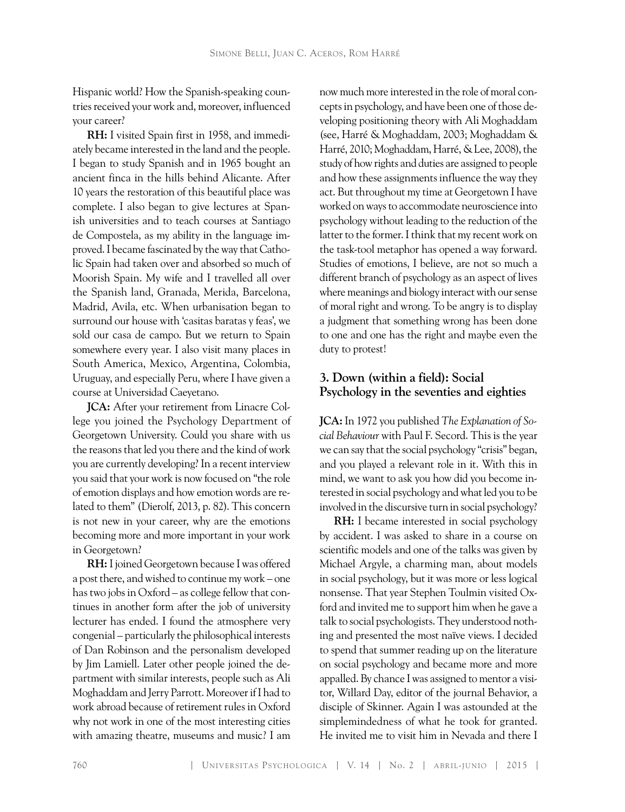Hispanic world? How the Spanish-speaking countries received your work and, moreover, influenced your career?

**RH:** I visited Spain first in 1958, and immediately became interested in the land and the people. I began to study Spanish and in 1965 bought an ancient finca in the hills behind Alicante. After 10 years the restoration of this beautiful place was complete. I also began to give lectures at Spanish universities and to teach courses at Santiago de Compostela, as my ability in the language improved. I became fascinated by the way that Catholic Spain had taken over and absorbed so much of Moorish Spain. My wife and I travelled all over the Spanish land, Granada, Merida, Barcelona, Madrid, Avila, etc. When urbanisation began to surround our house with 'casitas baratas y feas', we sold our casa de campo. But we return to Spain somewhere every year. I also visit many places in South America, Mexico, Argentina, Colombia, Uruguay, and especially Peru, where I have given a course at Universidad Caeyetano.

**JCA:** After your retirement from Linacre College you joined the Psychology Department of Georgetown University. Could you share with us the reasons that led you there and the kind of work you are currently developing? In a recent interview you said that your work is now focused on "the role of emotion displays and how emotion words are related to them" (Dierolf, 2013, p. 82). This concern is not new in your career, why are the emotions becoming more and more important in your work in Georgetown?

**RH:** I joined Georgetown because I was offered a post there, and wished to continue my work – one has two jobs in Oxford – as college fellow that continues in another form after the job of university lecturer has ended. I found the atmosphere very congenial – particularly the philosophical interests of Dan Robinson and the personalism developed by Jim Lamiell. Later other people joined the department with similar interests, people such as Ali Moghaddam and Jerry Parrott. Moreover if I had to work abroad because of retirement rules in Oxford why not work in one of the most interesting cities with amazing theatre, museums and music? I am

now much more interested in the role of moral concepts in psychology, and have been one of those developing positioning theory with Ali Moghaddam (see, Harré & Moghaddam, 2003; Moghaddam & Harré, 2010; Moghaddam, Harré, & Lee, 2008), the study of how rights and duties are assigned to people and how these assignments influence the way they act. But throughout my time at Georgetown I have worked on ways to accommodate neuroscience into psychology without leading to the reduction of the latter to the former. I think that my recent work on the task-tool metaphor has opened a way forward. Studies of emotions, I believe, are not so much a different branch of psychology as an aspect of lives where meanings and biology interact with our sense of moral right and wrong. To be angry is to display a judgment that something wrong has been done to one and one has the right and maybe even the duty to protest!

## **3. Down (within a field): Social Psychology in the seventies and eighties**

**JCA:** In 1972 you published *The Explanation of Social Behaviour* with Paul F. Secord. This is the year we can say that the social psychology "crisis" began, and you played a relevant role in it. With this in mind, we want to ask you how did you become interested in social psychology and what led you to be involved in the discursive turn in social psychology?

**RH:** I became interested in social psychology by accident. I was asked to share in a course on scientific models and one of the talks was given by Michael Argyle, a charming man, about models in social psychology, but it was more or less logical nonsense. That year Stephen Toulmin visited Oxford and invited me to support him when he gave a talk to social psychologists. They understood nothing and presented the most naïve views. I decided to spend that summer reading up on the literature on social psychology and became more and more appalled. By chance I was assigned to mentor a visitor, Willard Day, editor of the journal Behavior, a disciple of Skinner. Again I was astounded at the simplemindedness of what he took for granted. He invited me to visit him in Nevada and there I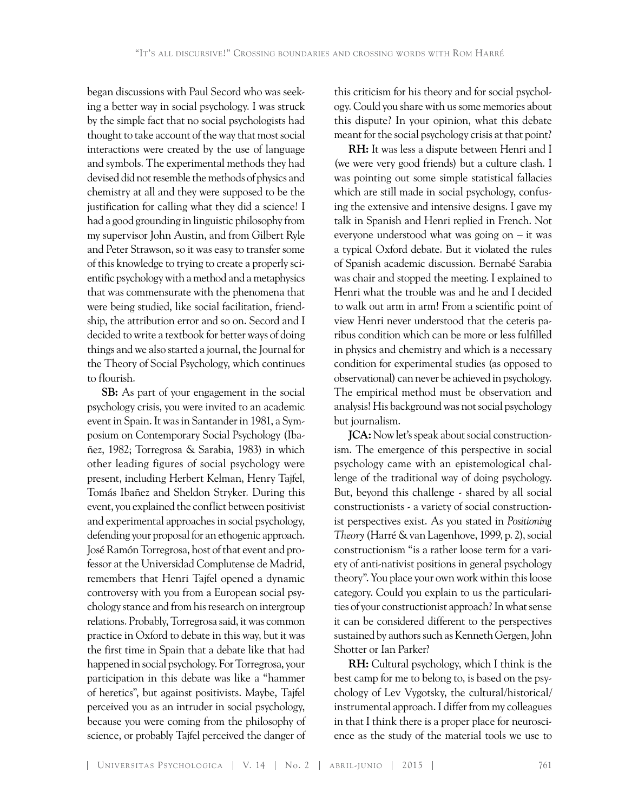began discussions with Paul Secord who was seeking a better way in social psychology. I was struck by the simple fact that no social psychologists had thought to take account of the way that most social interactions were created by the use of language and symbols. The experimental methods they had devised did not resemble the methods of physics and chemistry at all and they were supposed to be the justification for calling what they did a science! I had a good grounding in linguistic philosophy from my supervisor John Austin, and from Gilbert Ryle and Peter Strawson, so it was easy to transfer some of this knowledge to trying to create a properly scientific psychology with a method and a metaphysics that was commensurate with the phenomena that were being studied, like social facilitation, friendship, the attribution error and so on. Secord and I decided to write a textbook for better ways of doing things and we also started a journal, the Journal for the Theory of Social Psychology, which continues to flourish.

**SB:** As part of your engagement in the social psychology crisis, you were invited to an academic event in Spain. It was in Santander in 1981, a Symposium on Contemporary Social Psychology (Ibañez, 1982; Torregrosa & Sarabia, 1983) in which other leading figures of social psychology were present, including Herbert Kelman, Henry Tajfel, Tomás Ibañez and Sheldon Stryker. During this event, you explained the conflict between positivist and experimental approaches in social psychology, defending your proposal for an ethogenic approach. José Ramón Torregrosa, host of that event and professor at the Universidad Complutense de Madrid, remembers that Henri Tajfel opened a dynamic controversy with you from a European social psychology stance and from his research on intergroup relations. Probably, Torregrosa said, it was common practice in Oxford to debate in this way, but it was the first time in Spain that a debate like that had happened in social psychology. For Torregrosa, your participation in this debate was like a "hammer of heretics", but against positivists. Maybe, Tajfel perceived you as an intruder in social psychology, because you were coming from the philosophy of science, or probably Tajfel perceived the danger of this criticism for his theory and for social psychology. Could you share with us some memories about this dispute? In your opinion, what this debate meant for the social psychology crisis at that point?

**RH:** It was less a dispute between Henri and I (we were very good friends) but a culture clash. I was pointing out some simple statistical fallacies which are still made in social psychology, confusing the extensive and intensive designs. I gave my talk in Spanish and Henri replied in French. Not everyone understood what was going on – it was a typical Oxford debate. But it violated the rules of Spanish academic discussion. Bernabé Sarabia was chair and stopped the meeting. I explained to Henri what the trouble was and he and I decided to walk out arm in arm! From a scientific point of view Henri never understood that the ceteris paribus condition which can be more or less fulfilled in physics and chemistry and which is a necessary condition for experimental studies (as opposed to observational) can never be achieved in psychology. The empirical method must be observation and analysis! His background was not social psychology but journalism.

**JCA:** Now let's speak about social constructionism. The emergence of this perspective in social psychology came with an epistemological challenge of the traditional way of doing psychology. But, beyond this challenge - shared by all social constructionists - a variety of social constructionist perspectives exist. As you stated in *Positioning Theory* (Harré & van Lagenhove, 1999, p. 2), social constructionism "is a rather loose term for a variety of anti-nativist positions in general psychology theory". You place your own work within this loose category. Could you explain to us the particularities of your constructionist approach? In what sense it can be considered different to the perspectives sustained by authors such as Kenneth Gergen, John Shotter or Ian Parker?

**RH:** Cultural psychology, which I think is the best camp for me to belong to, is based on the psychology of Lev Vygotsky, the cultural/historical/ instrumental approach. I differ from my colleagues in that I think there is a proper place for neuroscience as the study of the material tools we use to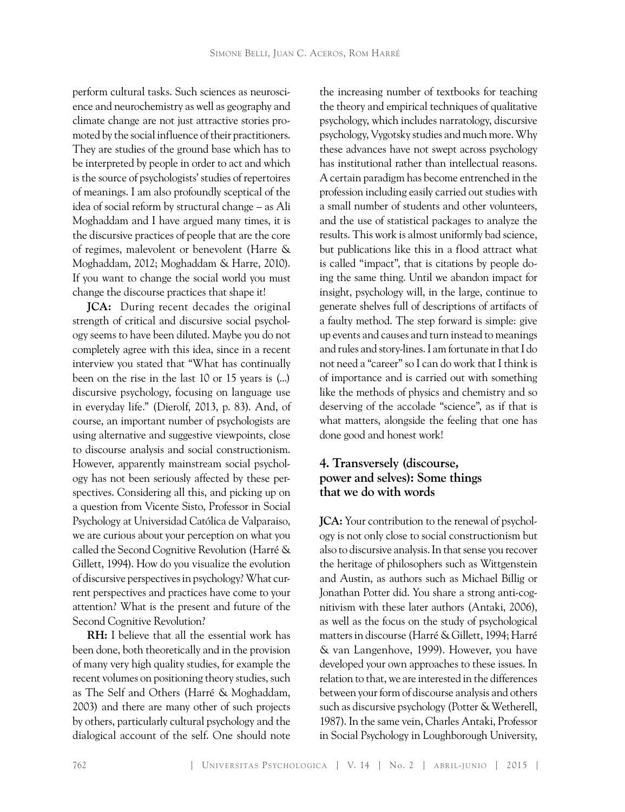perform cultural tasks. Such sciences as neuroscience and neurochemistry as well as geography and climate change are not just attractive stories promoted by the social influence of their practitioners. They are studies of the ground base which has to be interpreted by people in order to act and which is the source of psychologists' studies of repertoires of meanings. I am also profoundly sceptical of the idea of social reform by structural change – as Ali Moghaddam and I have argued many times, it is the discursive practices of people that are the core of regimes, malevolent or benevolent (Harre & Moghaddam, 2012; Moghaddam & Harre, 2010). If you want to change the social world you must change the discourse practices that shape it!

**JCA:** During recent decades the original strength of critical and discursive social psychology seems to have been diluted. Maybe you do not completely agree with this idea, since in a recent interview you stated that "What has continually been on the rise in the last 10 or 15 years is (...) discursive psychology, focusing on language use in everyday life." (Dierolf, 2013, p. 83). And, of course, an important number of psychologists are using alternative and suggestive viewpoints, close to discourse analysis and social constructionism. However, apparently mainstream social psychology has not been seriously affected by these perspectives. Considering all this, and picking up on a question from Vicente Sisto, Professor in Social Psychology at Universidad Católica de Valparaiso, we are curious about your perception on what you called the Second Cognitive Revolution (Harré & Gillett, 1994). How do you visualize the evolution of discursive perspectives in psychology? What current perspectives and practices have come to your attention? What is the present and future of the Second Cognitive Revolution?

**RH:** I believe that all the essential work has been done, both theoretically and in the provision of many very high quality studies, for example the recent volumes on positioning theory studies, such as The Self and Others (Harré & Moghaddam, 2003) and there are many other of such projects by others, particularly cultural psychology and the dialogical account of the self. One should note

the increasing number of textbooks for teaching the theory and empirical techniques of qualitative psychology, which includes narratology, discursive psychology, Vygotsky studies and much more. Why these advances have not swept across psychology has institutional rather than intellectual reasons. A certain paradigm has become entrenched in the profession including easily carried out studies with a small number of students and other volunteers, and the use of statistical packages to analyze the results. This work is almost uniformly bad science, but publications like this in a flood attract what is called "impact", that is citations by people doing the same thing. Until we abandon impact for insight, psychology will, in the large, continue to generate shelves full of descriptions of artifacts of a faulty method. The step forward is simple: give up events and causes and turn instead to meanings and rules and story-lines. I am fortunate in that I do not need a "career" so I can do work that I think is of importance and is carried out with something like the methods of physics and chemistry and so deserving of the accolade "science", as if that is what matters, alongside the feeling that one has done good and honest work!

## **4. Transversely (discourse, power and selves): Some things that we do with words**

**JCA:** Your contribution to the renewal of psychology is not only close to social constructionism but also to discursive analysis. In that sense you recover the heritage of philosophers such as Wittgenstein and Austin, as authors such as Michael Billig or Jonathan Potter did. You share a strong anti-cognitivism with these later authors (Antaki, 2006), as well as the focus on the study of psychological matters in discourse (Harré & Gillett, 1994; Harré & van Langenhove, 1999). However, you have developed your own approaches to these issues. In relation to that, we are interested in the differences between your form of discourse analysis and others such as discursive psychology (Potter & Wetherell, 1987). In the same vein, Charles Antaki, Professor in Social Psychology in Loughborough University,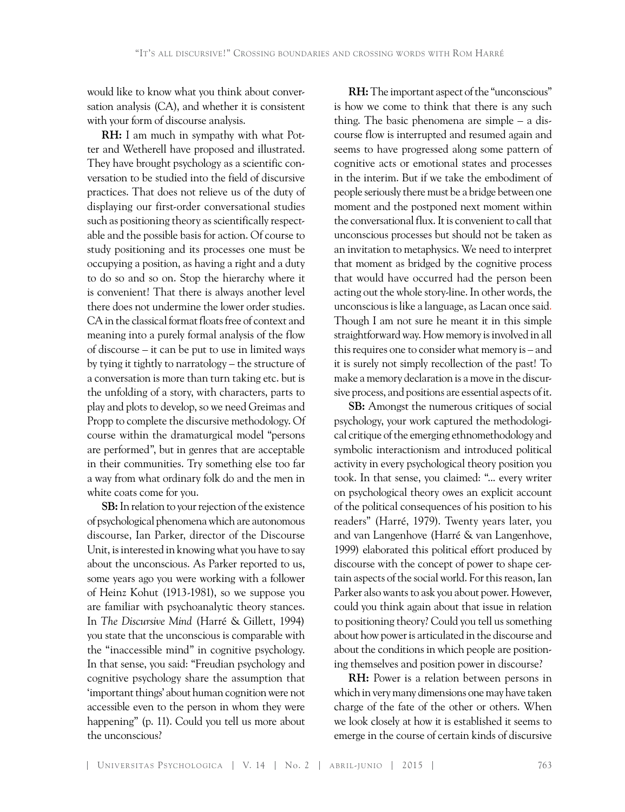would like to know what you think about conversation analysis (CA), and whether it is consistent with your form of discourse analysis.

**RH:** I am much in sympathy with what Potter and Wetherell have proposed and illustrated. They have brought psychology as a scientific conversation to be studied into the field of discursive practices. That does not relieve us of the duty of displaying our first-order conversational studies such as positioning theory as scientifically respectable and the possible basis for action. Of course to study positioning and its processes one must be occupying a position, as having a right and a duty to do so and so on. Stop the hierarchy where it is convenient! That there is always another level there does not undermine the lower order studies. CA in the classical format floats free of context and meaning into a purely formal analysis of the flow of discourse – it can be put to use in limited ways by tying it tightly to narratology – the structure of a conversation is more than turn taking etc. but is the unfolding of a story, with characters, parts to play and plots to develop, so we need Greimas and Propp to complete the discursive methodology. Of course within the dramaturgical model "persons are performed", but in genres that are acceptable in their communities. Try something else too far a way from what ordinary folk do and the men in white coats come for you.

**SB:** In relation to your rejection of the existence of psychological phenomena which are autonomous discourse, Ian Parker, director of the Discourse Unit, is interested in knowing what you have to say about the unconscious. As Parker reported to us, some years ago you were working with a follower of Heinz Kohut (1913-1981), so we suppose you are familiar with psychoanalytic theory stances. In *The Discursive Mind* (Harré & Gillett, 1994) you state that the unconscious is comparable with the "inaccessible mind" in cognitive psychology. In that sense, you said: "Freudian psychology and cognitive psychology share the assumption that 'important things' about human cognition were not accessible even to the person in whom they were happening" (p. 11). Could you tell us more about the unconscious?

**RH:** The important aspect of the "unconscious" is how we come to think that there is any such thing. The basic phenomena are simple – a discourse flow is interrupted and resumed again and seems to have progressed along some pattern of cognitive acts or emotional states and processes in the interim. But if we take the embodiment of people seriously there must be a bridge between one moment and the postponed next moment within the conversational flux. It is convenient to call that unconscious processes but should not be taken as an invitation to metaphysics. We need to interpret that moment as bridged by the cognitive process that would have occurred had the person been acting out the whole story-line. In other words, the unconscious is like a language, as Lacan once said. Though I am not sure he meant it in this simple straightforward way. How memory is involved in all this requires one to consider what memory is – and it is surely not simply recollection of the past! To make a memory declaration is a move in the discursive process, and positions are essential aspects of it.

**SB:** Amongst the numerous critiques of social psychology, your work captured the methodological critique of the emerging ethnomethodology and symbolic interactionism and introduced political activity in every psychological theory position you took. In that sense, you claimed: "... every writer on psychological theory owes an explicit account of the political consequences of his position to his readers" (Harré, 1979). Twenty years later, you and van Langenhove (Harré & van Langenhove, 1999) elaborated this political effort produced by discourse with the concept of power to shape certain aspects of the social world. For this reason, Ian Parker also wants to ask you about power. However, could you think again about that issue in relation to positioning theory? Could you tell us something about how power is articulated in the discourse and about the conditions in which people are positioning themselves and position power in discourse?

**RH:** Power is a relation between persons in which in very many dimensions one may have taken charge of the fate of the other or others. When we look closely at how it is established it seems to emerge in the course of certain kinds of discursive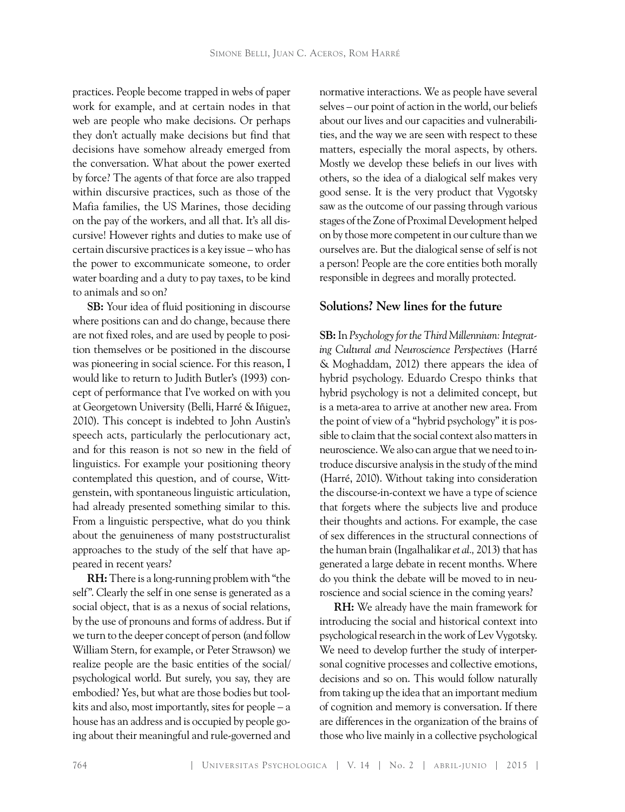practices. People become trapped in webs of paper work for example, and at certain nodes in that web are people who make decisions. Or perhaps they don't actually make decisions but find that decisions have somehow already emerged from the conversation. What about the power exerted by force? The agents of that force are also trapped within discursive practices, such as those of the Mafia families, the US Marines, those deciding on the pay of the workers, and all that. It's all discursive! However rights and duties to make use of certain discursive practices is a key issue – who has the power to excommunicate someone, to order water boarding and a duty to pay taxes, to be kind to animals and so on?

**SB:** Your idea of fluid positioning in discourse where positions can and do change, because there are not fixed roles, and are used by people to position themselves or be positioned in the discourse was pioneering in social science. For this reason, I would like to return to Judith Butler's (1993) concept of performance that I've worked on with you at Georgetown University (Belli, Harré & Iñiguez, 2010). This concept is indebted to John Austin's speech acts, particularly the perlocutionary act, and for this reason is not so new in the field of linguistics. For example your positioning theory contemplated this question, and of course, Wittgenstein, with spontaneous linguistic articulation, had already presented something similar to this. From a linguistic perspective, what do you think about the genuineness of many poststructuralist approaches to the study of the self that have appeared in recent years?

**RH:** There is a long-running problem with "the self". Clearly the self in one sense is generated as a social object, that is as a nexus of social relations, by the use of pronouns and forms of address. But if we turn to the deeper concept of person (and follow William Stern, for example, or Peter Strawson) we realize people are the basic entities of the social/ psychological world. But surely, you say, they are embodied? Yes, but what are those bodies but toolkits and also, most importantly, sites for people – a house has an address and is occupied by people going about their meaningful and rule-governed and

normative interactions. We as people have several selves – our point of action in the world, our beliefs about our lives and our capacities and vulnerabilities, and the way we are seen with respect to these matters, especially the moral aspects, by others. Mostly we develop these beliefs in our lives with others, so the idea of a dialogical self makes very good sense. It is the very product that Vygotsky saw as the outcome of our passing through various stages of the Zone of Proximal Development helped on by those more competent in our culture than we ourselves are. But the dialogical sense of self is not a person! People are the core entities both morally responsible in degrees and morally protected.

## **Solutions? New lines for the future**

**SB:** In *Psychology for the Third Millennium: Integrating Cultural and Neuroscience Perspectives* (Harré & Moghaddam, 2012) there appears the idea of hybrid psychology. Eduardo Crespo thinks that hybrid psychology is not a delimited concept, but is a meta-area to arrive at another new area. From the point of view of a "hybrid psychology" it is possible to claim that the social context also matters in neuroscience. We also can argue that we need to introduce discursive analysis in the study of the mind (Harré, 2010). Without taking into consideration the discourse-in-context we have a type of science that forgets where the subjects live and produce their thoughts and actions. For example, the case of sex differences in the structural connections of the human brain (Ingalhalikar *et al.,* 2013) that has generated a large debate in recent months. Where do you think the debate will be moved to in neuroscience and social science in the coming years?

**RH:** We already have the main framework for introducing the social and historical context into psychological research in the work of Lev Vygotsky. We need to develop further the study of interpersonal cognitive processes and collective emotions, decisions and so on. This would follow naturally from taking up the idea that an important medium of cognition and memory is conversation. If there are differences in the organization of the brains of those who live mainly in a collective psychological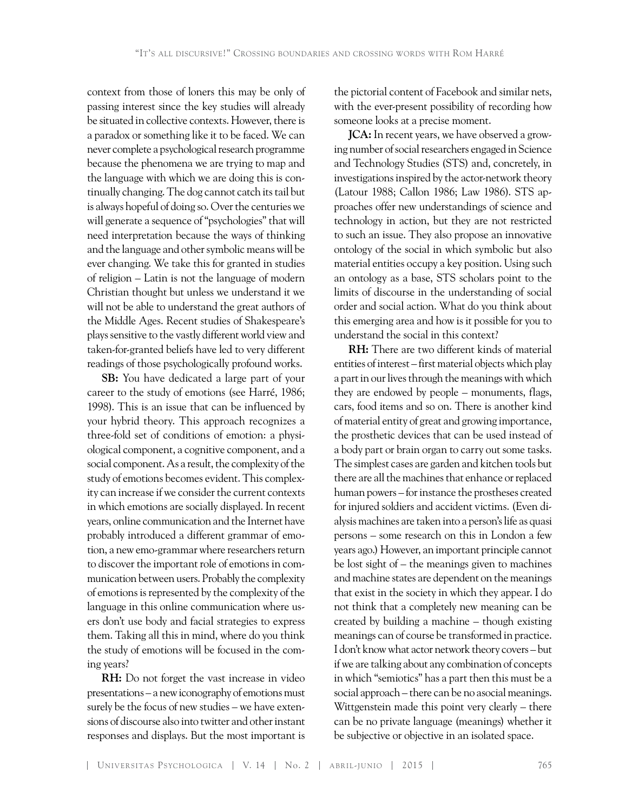context from those of loners this may be only of passing interest since the key studies will already be situated in collective contexts. However, there is a paradox or something like it to be faced. We can never complete a psychological research programme because the phenomena we are trying to map and the language with which we are doing this is continually changing. The dog cannot catch its tail but is always hopeful of doing so. Over the centuries we will generate a sequence of "psychologies" that will need interpretation because the ways of thinking and the language and other symbolic means will be ever changing. We take this for granted in studies of religion – Latin is not the language of modern Christian thought but unless we understand it we will not be able to understand the great authors of the Middle Ages. Recent studies of Shakespeare's plays sensitive to the vastly different world view and taken-for-granted beliefs have led to very different readings of those psychologically profound works.

**SB:** You have dedicated a large part of your career to the study of emotions (see Harré, 1986; 1998). This is an issue that can be influenced by your hybrid theory. This approach recognizes a three-fold set of conditions of emotion: a physiological component, a cognitive component, and a social component. As a result, the complexity of the study of emotions becomes evident. This complexity can increase if we consider the current contexts in which emotions are socially displayed. In recent years, online communication and the Internet have probably introduced a different grammar of emotion, a new emo-grammar where researchers return to discover the important role of emotions in communication between users. Probably the complexity of emotions is represented by the complexity of the language in this online communication where users don't use body and facial strategies to express them. Taking all this in mind, where do you think the study of emotions will be focused in the coming years?

**RH:** Do not forget the vast increase in video presentations – a new iconography of emotions must surely be the focus of new studies – we have extensions of discourse also into twitter and other instant responses and displays. But the most important is the pictorial content of Facebook and similar nets, with the ever-present possibility of recording how someone looks at a precise moment.

**JCA:** In recent years, we have observed a growing number of social researchers engaged in Science and Technology Studies (STS) and, concretely, in investigations inspired by the actor-network theory (Latour 1988; Callon 1986; Law 1986). STS approaches offer new understandings of science and technology in action, but they are not restricted to such an issue. They also propose an innovative ontology of the social in which symbolic but also material entities occupy a key position. Using such an ontology as a base, STS scholars point to the limits of discourse in the understanding of social order and social action. What do you think about this emerging area and how is it possible for you to understand the social in this context?

**RH:** There are two different kinds of material entities of interest – first material objects which play a part in our lives through the meanings with which they are endowed by people – monuments, flags, cars, food items and so on. There is another kind of material entity of great and growing importance, the prosthetic devices that can be used instead of a body part or brain organ to carry out some tasks. The simplest cases are garden and kitchen tools but there are all the machines that enhance or replaced human powers – for instance the prostheses created for injured soldiers and accident victims. (Even dialysis machines are taken into a person's life as quasi persons – some research on this in London a few years ago.) However, an important principle cannot be lost sight of – the meanings given to machines and machine states are dependent on the meanings that exist in the society in which they appear. I do not think that a completely new meaning can be created by building a machine – though existing meanings can of course be transformed in practice. I don't know what actor network theory covers – but if we are talking about any combination of concepts in which "semiotics" has a part then this must be a social approach – there can be no asocial meanings. Wittgenstein made this point very clearly – there can be no private language (meanings) whether it be subjective or objective in an isolated space.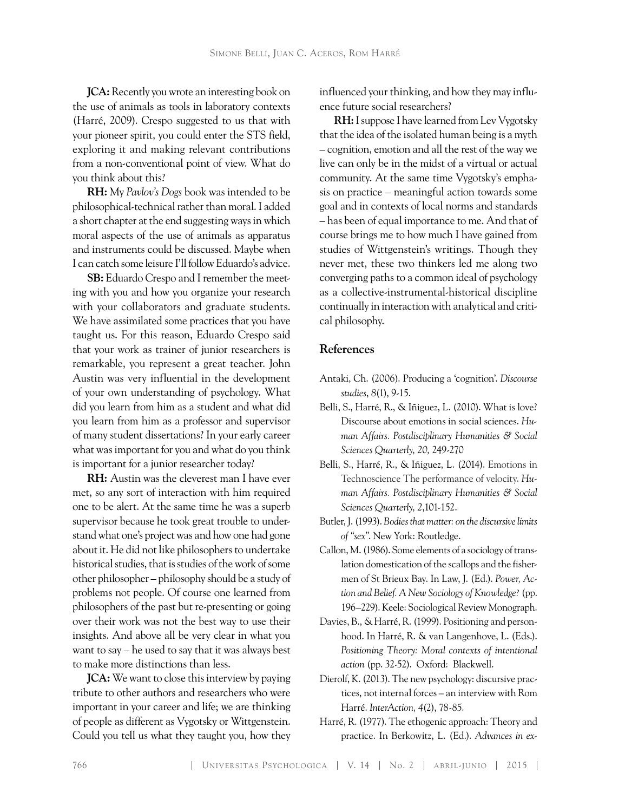**JCA:** Recently you wrote an interesting book on the use of animals as tools in laboratory contexts (Harré, 2009). Crespo suggested to us that with your pioneer spirit, you could enter the STS field, exploring it and making relevant contributions from a non-conventional point of view. What do you think about this?

**RH:** My *Pavlov's Dogs* book was intended to be philosophical-technical rather than moral. I added a short chapter at the end suggesting ways in which moral aspects of the use of animals as apparatus and instruments could be discussed. Maybe when I can catch some leisure I'll follow Eduardo's advice.

**SB:** Eduardo Crespo and I remember the meeting with you and how you organize your research with your collaborators and graduate students. We have assimilated some practices that you have taught us. For this reason, Eduardo Crespo said that your work as trainer of junior researchers is remarkable, you represent a great teacher. John Austin was very influential in the development of your own understanding of psychology. What did you learn from him as a student and what did you learn from him as a professor and supervisor of many student dissertations? In your early career what was important for you and what do you think is important for a junior researcher today?

**RH:** Austin was the cleverest man I have ever met, so any sort of interaction with him required one to be alert. At the same time he was a superb supervisor because he took great trouble to understand what one's project was and how one had gone about it. He did not like philosophers to undertake historical studies, that is studies of the work of some other philosopher – philosophy should be a study of problems not people. Of course one learned from philosophers of the past but re-presenting or going over their work was not the best way to use their insights. And above all be very clear in what you want to say – he used to say that it was always best to make more distinctions than less.

**JCA:** We want to close this interview by paying tribute to other authors and researchers who were important in your career and life; we are thinking of people as different as Vygotsky or Wittgenstein. Could you tell us what they taught you, how they

influenced your thinking, and how they may influence future social researchers?

**RH:** I suppose I have learned from Lev Vygotsky that the idea of the isolated human being is a myth – cognition, emotion and all the rest of the way we live can only be in the midst of a virtual or actual community. At the same time Vygotsky's emphasis on practice – meaningful action towards some goal and in contexts of local norms and standards – has been of equal importance to me. And that of course brings me to how much I have gained from studies of Wittgenstein's writings. Though they never met, these two thinkers led me along two converging paths to a common ideal of psychology as a collective-instrumental-historical discipline continually in interaction with analytical and critical philosophy.

#### **References**

- Antaki, Ch. (2006). Producing a 'cognition'. *Discourse studies*, *8*(1), 9-15.
- Belli, S., Harré, R., & Iñiguez, L. (2010). What is love? Discourse about emotions in social sciences. *Human Affairs. Postdisciplinary Humanities & Social Sciences Quarterly, 20,* 249-270
- Belli, S., Harré, R., & Iñiguez, L. (2014). Emotions in Technoscience The performance of velocity. *Human Affairs. Postdisciplinary Humanities & Social Sciences Quarterly, 2*,101-152.
- Butler, J. (1993). *Bodies that matter: on the discursive limits of "sex"*. New York: Routledge.
- Callon, M. (1986). Some elements of a sociology of translation domestication of the scallops and the fishermen of St Brieux Bay. In Law, J. (Ed.). *Power, Action and Belief. A New Sociology of Knowledge?* (pp. 196–229). Keele: Sociological Review Monograph.
- Davies, B., & Harré, R. (1999). Positioning and personhood. In Harré, R. & van Langenhove, L. (Eds.). *Positioning Theory: Moral contexts of intentional action* (pp. 32-52). Oxford: Blackwell.
- Dierolf, K. (2013). The new psychology: discursive practices, not internal forces – an interview with Rom Harré. *InterAction, 4*(2), 78-85.
- Harré, R. (1977). The ethogenic approach: Theory and practice. In Berkowitz, L. (Ed.). *Advances in ex-*